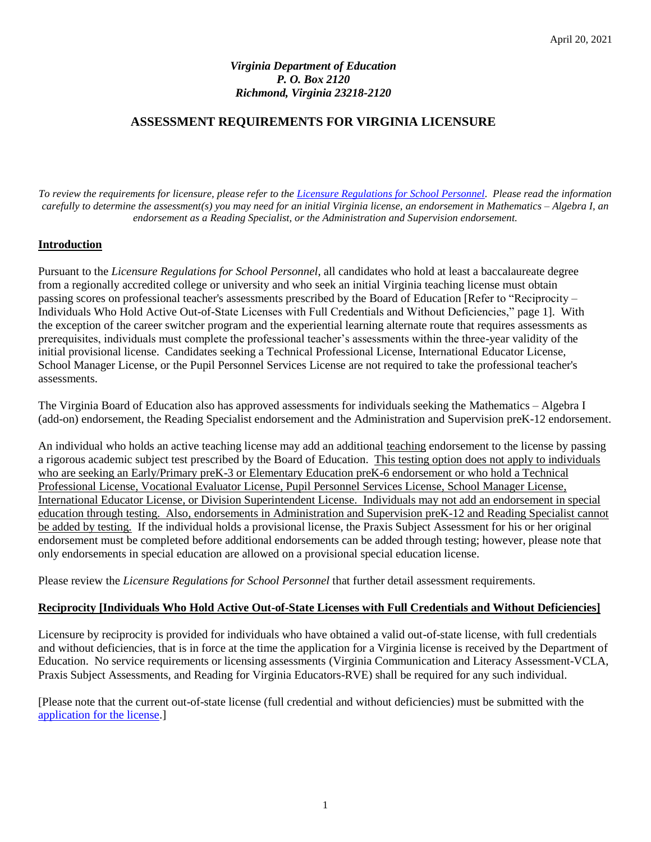# *Virginia Department of Education P. O. Box 2120 Richmond, Virginia 23218-2120*

## **ASSESSMENT REQUIREMENTS FOR VIRGINIA LICENSURE**

*To review the requirements for licensure, please refer to the [Licensure Regulations for School Personnel.](https://law.lis.virginia.gov/admincode/title8/agency20/chapter23/) Please read the information carefully to determine the assessment(s) you may need for an initial Virginia license, an endorsement in Mathematics – Algebra I, an endorsement as a Reading Specialist, or the Administration and Supervision endorsement.*

## **Introduction**

Pursuant to the *Licensure Regulations for School Personnel*, all candidates who hold at least a baccalaureate degree from a regionally accredited college or university and who seek an initial Virginia teaching license must obtain passing scores on professional teacher's assessments prescribed by the Board of Education [Refer to "Reciprocity – Individuals Who Hold Active Out-of-State Licenses with Full Credentials and Without Deficiencies," page 1]. With the exception of the career switcher program and the experiential learning alternate route that requires assessments as prerequisites, individuals must complete the professional teacher's assessments within the three-year validity of the initial provisional license. Candidates seeking a Technical Professional License, International Educator License, School Manager License, or the Pupil Personnel Services License are not required to take the professional teacher's assessments.

The Virginia Board of Education also has approved assessments for individuals seeking the Mathematics – Algebra I (add-on) endorsement, the Reading Specialist endorsement and the Administration and Supervision preK-12 endorsement.

An individual who holds an active teaching license may add an additional teaching endorsement to the license by passing a rigorous academic subject test prescribed by the Board of Education. This testing option does not apply to individuals who are seeking an Early/Primary preK-3 or Elementary Education preK-6 endorsement or who hold a Technical Professional License, Vocational Evaluator License, Pupil Personnel Services License, School Manager License, International Educator License, or Division Superintendent License. Individuals may not add an endorsement in special education through testing. Also, endorsements in Administration and Supervision preK-12 and Reading Specialist cannot be added by testing. If the individual holds a provisional license, the Praxis Subject Assessment for his or her original endorsement must be completed before additional endorsements can be added through testing; however, please note that only endorsements in special education are allowed on a provisional special education license.

Please review the *Licensure Regulations for School Personnel* that further detail assessment requirements.

## **Reciprocity [Individuals Who Hold Active Out-of-State Licenses with Full Credentials and Without Deficiencies]**

Licensure by reciprocity is provided for individuals who have obtained a valid out-of-state license, with full credentials and without deficiencies, that is in force at the time the application for a Virginia license is received by the Department of Education. No service requirements or licensing assessments (Virginia Communication and Literacy Assessment-VCLA, Praxis Subject Assessments, and Reading for Virginia Educators-RVE) shall be required for any such individual.

[Please note that the current out-of-state license (full credential and without deficiencies) must be submitted with the [application for the license.](http://doe.virginia.gov/teaching/licensure/index.shtml)]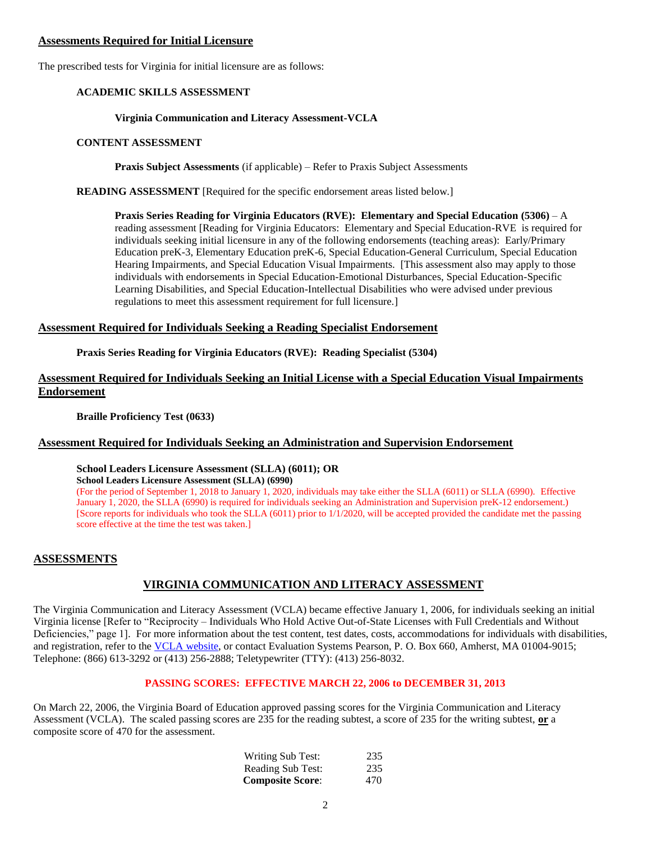### **Assessments Required for Initial Licensure**

The prescribed tests for Virginia for initial licensure are as follows:

## **ACADEMIC SKILLS ASSESSMENT**

## **Virginia Communication and Literacy Assessment-VCLA**

## **CONTENT ASSESSMENT**

**Praxis Subject Assessments** (if applicable) – Refer to Praxis Subject Assessments

**READING ASSESSMENT** [Required for the specific endorsement areas listed below.]

**Praxis Series Reading for Virginia Educators (RVE): Elementary and Special Education (5306)** – A reading assessment [Reading for Virginia Educators: Elementary and Special Education-RVE is required for individuals seeking initial licensure in any of the following endorsements (teaching areas): Early/Primary Education preK-3, Elementary Education preK-6, Special Education-General Curriculum, Special Education Hearing Impairments, and Special Education Visual Impairments. [This assessment also may apply to those individuals with endorsements in Special Education-Emotional Disturbances, Special Education-Specific Learning Disabilities, and Special Education-Intellectual Disabilities who were advised under previous regulations to meet this assessment requirement for full licensure.]

# **Assessment Required for Individuals Seeking a Reading Specialist Endorsement**

**Praxis Series Reading for Virginia Educators (RVE): Reading Specialist (5304)**

## **Assessment Required for Individuals Seeking an Initial License with a Special Education Visual Impairments Endorsement**

**Braille Proficiency Test (0633)**

# **Assessment Required for Individuals Seeking an Administration and Supervision Endorsement**

## **School Leaders Licensure Assessment (SLLA) (6011); OR**

**School Leaders Licensure Assessment (SLLA) (6990)**

(For the period of September 1, 2018 to January 1, 2020, individuals may take either the SLLA (6011) or SLLA (6990). Effective January 1, 2020, the SLLA (6990) is required for individuals seeking an Administration and Supervision preK-12 endorsement.) [Score reports for individuals who took the SLLA (6011) prior to 1/1/2020, will be accepted provided the candidate met the passing score effective at the time the test was taken.]

# **ASSESSMENTS**

# **VIRGINIA COMMUNICATION AND LITERACY ASSESSMENT**

The Virginia Communication and Literacy Assessment (VCLA) became effective January 1, 2006, for individuals seeking an initial Virginia license [Refer to "Reciprocity – Individuals Who Hold Active Out-of-State Licenses with Full Credentials and Without Deficiencies," page 1]. For more information about the test content, test dates, costs, accommodations for individuals with disabilities, and registration, refer to the [VCLA website,](http://www.va.nesinc.com/) or contact Evaluation Systems Pearson, P. O. Box 660, Amherst, MA 01004-9015; Telephone: (866) 613-3292 or (413) 256-2888; Teletypewriter (TTY): (413) 256-8032.

# **PASSING SCORES: EFFECTIVE MARCH 22, 2006 to DECEMBER 31, 2013**

On March 22, 2006, the Virginia Board of Education approved passing scores for the Virginia Communication and Literacy Assessment (VCLA). The scaled passing scores are 235 for the reading subtest, a score of 235 for the writing subtest, **or** a composite score of 470 for the assessment.

| <b>Writing Sub Test:</b> | 235 |
|--------------------------|-----|
| <b>Reading Sub Test:</b> | 235 |
| <b>Composite Score:</b>  | 470 |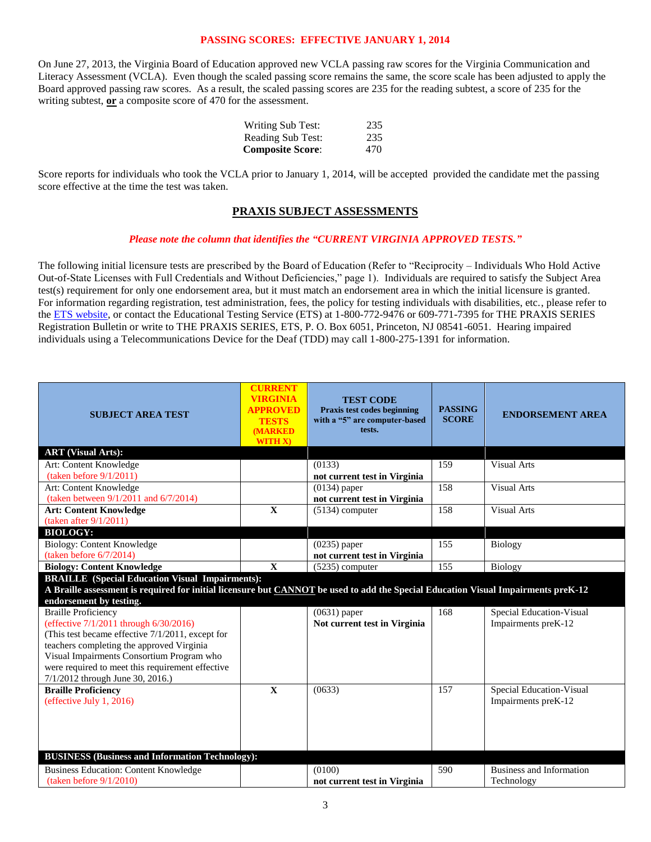### **PASSING SCORES: EFFECTIVE JANUARY 1, 2014**

On June 27, 2013, the Virginia Board of Education approved new VCLA passing raw scores for the Virginia Communication and Literacy Assessment (VCLA). Even though the scaled passing score remains the same, the score scale has been adjusted to apply the Board approved passing raw scores. As a result, the scaled passing scores are 235 for the reading subtest, a score of 235 for the writing subtest, **or** a composite score of 470 for the assessment.

| <b>Writing Sub Test:</b> | 235 |
|--------------------------|-----|
| Reading Sub Test:        | 235 |
| <b>Composite Score:</b>  | 470 |

Score reports for individuals who took the VCLA prior to January 1, 2014, will be accepted provided the candidate met the passing score effective at the time the test was taken.

### **PRAXIS SUBJECT ASSESSMENTS**

#### *Please note the column that identifies the "CURRENT VIRGINIA APPROVED TESTS."*

The following initial licensure tests are prescribed by the Board of Education (Refer to "Reciprocity – Individuals Who Hold Active Out-of-State Licenses with Full Credentials and Without Deficiencies," page 1). Individuals are required to satisfy the Subject Area test(s) requirement for only one endorsement area, but it must match an endorsement area in which the initial licensure is granted. For information regarding registration, test administration, fees, the policy for testing individuals with disabilities, etc., please refer to th[e ETS website,](http://www.ets.org/) or contact the Educational Testing Service (ETS) at 1-800-772-9476 or 609-771-7395 for THE PRAXIS SERIES Registration Bulletin or write to THE PRAXIS SERIES, ETS, P. O. Box 6051, Princeton, NJ 08541-6051. Hearing impaired individuals using a Telecommunications Device for the Deaf (TDD) may call 1-800-275-1391 for information.

| <b>SUBJECT AREA TEST</b>                                                                                                                                                                                                                                                                                   | <b>CURRENT</b><br><b>VIRGINIA</b><br><b>APPROVED</b><br><b>TESTS</b><br><b>(MARKED)</b><br><b>WITH X)</b> | <b>TEST CODE</b><br>Praxis test codes beginning<br>with a "5" are computer-based<br>tests. | <b>PASSING</b><br><b>SCORE</b> | <b>ENDORSEMENT AREA</b>                         |
|------------------------------------------------------------------------------------------------------------------------------------------------------------------------------------------------------------------------------------------------------------------------------------------------------------|-----------------------------------------------------------------------------------------------------------|--------------------------------------------------------------------------------------------|--------------------------------|-------------------------------------------------|
| <b>ART</b> (Visual Arts):                                                                                                                                                                                                                                                                                  |                                                                                                           |                                                                                            |                                |                                                 |
| Art: Content Knowledge                                                                                                                                                                                                                                                                                     |                                                                                                           | (0133)                                                                                     | 159                            | <b>Visual Arts</b>                              |
| (taken before $9/1/2011$ )                                                                                                                                                                                                                                                                                 |                                                                                                           | not current test in Virginia                                                               |                                |                                                 |
| Art: Content Knowledge                                                                                                                                                                                                                                                                                     |                                                                                                           | $(0134)$ paper                                                                             | 158                            | <b>Visual Arts</b>                              |
| (taken between $9/1/2011$ and $6/7/2014$ )                                                                                                                                                                                                                                                                 |                                                                                                           | not current test in Virginia                                                               |                                |                                                 |
| <b>Art: Content Knowledge</b>                                                                                                                                                                                                                                                                              | $\mathbf{X}$                                                                                              | $(5134)$ computer                                                                          | 158                            | <b>Visual Arts</b>                              |
| (taken after $9/1/2011$ )                                                                                                                                                                                                                                                                                  |                                                                                                           |                                                                                            |                                |                                                 |
| <b>BIOLOGY:</b>                                                                                                                                                                                                                                                                                            |                                                                                                           |                                                                                            |                                |                                                 |
| <b>Biology: Content Knowledge</b>                                                                                                                                                                                                                                                                          |                                                                                                           | $(0235)$ paper                                                                             | 155                            | <b>Biology</b>                                  |
| (taken before $6/7/2014$ )                                                                                                                                                                                                                                                                                 |                                                                                                           | not current test in Virginia                                                               |                                |                                                 |
| <b>Biology: Content Knowledge</b>                                                                                                                                                                                                                                                                          | $\mathbf X$                                                                                               | $(5235)$ computer                                                                          | 155                            | Biology                                         |
| <b>BRAILLE</b> (Special Education Visual Impairments):<br>A Braille assessment is required for initial licensure but CANNOT be used to add the Special Education Visual Impairments preK-12<br>endorsement by testing.                                                                                     |                                                                                                           |                                                                                            |                                |                                                 |
| <b>Braille Proficiency</b><br>(effective 7/1/2011 through 6/30/2016)<br>(This test became effective 7/1/2011, except for<br>teachers completing the approved Virginia<br>Visual Impairments Consortium Program who<br>were required to meet this requirement effective<br>7/1/2012 through June 30, 2016.) |                                                                                                           | $(0631)$ paper<br>Not current test in Virginia                                             | 168                            | Special Education-Visual<br>Impairments preK-12 |
| <b>Braille Proficiency</b><br>(effective July 1, 2016)<br><b>BUSINESS (Business and Information Technology):</b>                                                                                                                                                                                           | $\mathbf X$                                                                                               | (0633)                                                                                     | 157                            | Special Education-Visual<br>Impairments preK-12 |
|                                                                                                                                                                                                                                                                                                            |                                                                                                           |                                                                                            |                                |                                                 |
| <b>Business Education: Content Knowledge</b><br>(taken before 9/1/2010)                                                                                                                                                                                                                                    |                                                                                                           | (0100)<br>not current test in Virginia                                                     | 590                            | Business and Information<br>Technology          |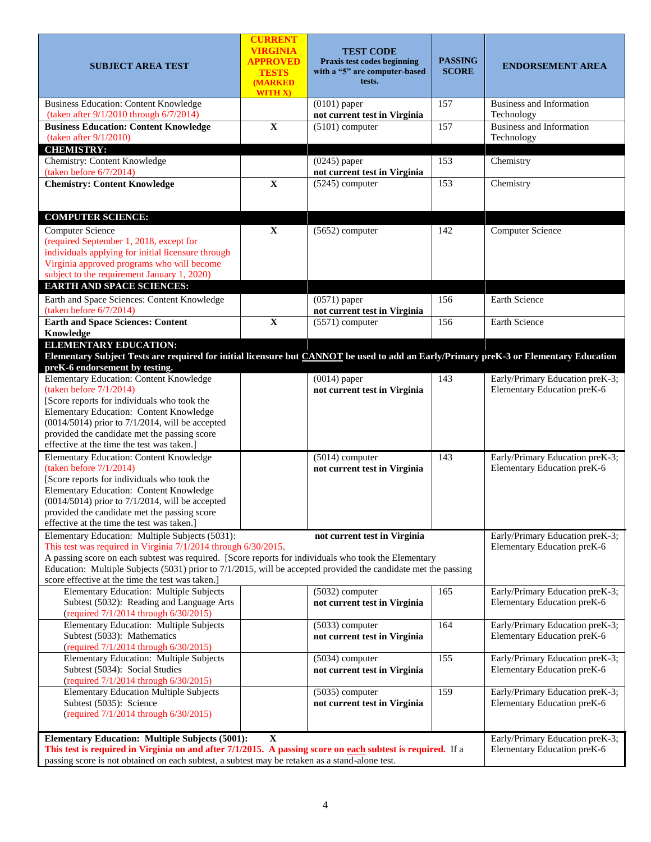| <b>SUBJECT AREA TEST</b>                                                                                                                                                                                                                                                                                                                                                                        | <b>CURRENT</b><br><b>VIRGINIA</b><br><b>APPROVED</b><br><b>TESTS</b><br><b>(MARKED)</b><br><b>WITH X)</b> | <b>TEST CODE</b><br>Praxis test codes beginning<br>with a "5" are computer-based<br>tests. | <b>PASSING</b><br><b>SCORE</b> | <b>ENDORSEMENT AREA</b>                                        |
|-------------------------------------------------------------------------------------------------------------------------------------------------------------------------------------------------------------------------------------------------------------------------------------------------------------------------------------------------------------------------------------------------|-----------------------------------------------------------------------------------------------------------|--------------------------------------------------------------------------------------------|--------------------------------|----------------------------------------------------------------|
| <b>Business Education: Content Knowledge</b><br>(taken after 9/1/2010 through 6/7/2014)                                                                                                                                                                                                                                                                                                         |                                                                                                           | $(0101)$ paper<br>not current test in Virginia                                             | 157                            | Business and Information<br>Technology                         |
| <b>Business Education: Content Knowledge</b><br>(taken after $9/1/2010$ )                                                                                                                                                                                                                                                                                                                       | $\mathbf X$                                                                                               | $(5101)$ computer                                                                          | 157                            | <b>Business and Information</b><br>Technology                  |
| <b>CHEMISTRY:</b>                                                                                                                                                                                                                                                                                                                                                                               |                                                                                                           |                                                                                            |                                |                                                                |
| Chemistry: Content Knowledge<br>(taken before $6/7/2014$ )                                                                                                                                                                                                                                                                                                                                      |                                                                                                           | $(0245)$ paper<br>not current test in Virginia                                             | 153                            | Chemistry                                                      |
| <b>Chemistry: Content Knowledge</b>                                                                                                                                                                                                                                                                                                                                                             | $\overline{\mathbf{X}}$                                                                                   | $(5245)$ computer                                                                          | 153                            | Chemistry                                                      |
| <b>COMPUTER SCIENCE:</b>                                                                                                                                                                                                                                                                                                                                                                        |                                                                                                           |                                                                                            |                                |                                                                |
| <b>Computer Science</b><br>(required September 1, 2018, except for<br>individuals applying for initial licensure through<br>Virginia approved programs who will become<br>subject to the requirement January 1, 2020)                                                                                                                                                                           | $\mathbf X$                                                                                               | $(5652)$ computer                                                                          | 142                            | <b>Computer Science</b>                                        |
| <b>EARTH AND SPACE SCIENCES:</b>                                                                                                                                                                                                                                                                                                                                                                |                                                                                                           |                                                                                            |                                |                                                                |
| Earth and Space Sciences: Content Knowledge<br>(taken before $6/7/2014$ )                                                                                                                                                                                                                                                                                                                       |                                                                                                           | $(0571)$ paper<br>not current test in Virginia                                             | 156                            | Earth Science                                                  |
| <b>Earth and Space Sciences: Content</b><br>Knowledge                                                                                                                                                                                                                                                                                                                                           | $\mathbf X$                                                                                               | $(5571)$ computer                                                                          | 156                            | Earth Science                                                  |
| <b>ELEMENTARY EDUCATION:</b><br>Elementary Subject Tests are required for initial licensure but CANNOT be used to add an Early/Primary preK-3 or Elementary Education<br>preK-6 endorsement by testing.                                                                                                                                                                                         |                                                                                                           |                                                                                            |                                |                                                                |
| Elementary Education: Content Knowledge<br>(taken before $7/1/2014$ )<br>[Score reports for individuals who took the<br>Elementary Education: Content Knowledge<br>$(0014/5014)$ prior to 7/1/2014, will be accepted<br>provided the candidate met the passing score<br>effective at the time the test was taken.]                                                                              |                                                                                                           | $(0014)$ paper<br>not current test in Virginia                                             | 143                            | Early/Primary Education preK-3;<br>Elementary Education preK-6 |
| Elementary Education: Content Knowledge<br>(taken before $7/1/2014$ )<br>[Score reports for individuals who took the<br>Elementary Education: Content Knowledge<br>$(0014/5014)$ prior to $7/1/2014$ , will be accepted<br>provided the candidate met the passing score<br>effective at the time the test was taken.]                                                                           |                                                                                                           | $(5014)$ computer<br>not current test in Virginia                                          | 143                            | Early/Primary Education preK-3;<br>Elementary Education preK-6 |
| Elementary Education: Multiple Subjects (5031):<br>This test was required in Virginia 7/1/2014 through 6/30/2015.<br>A passing score on each subtest was required. [Score reports for individuals who took the Elementary<br>Education: Multiple Subjects (5031) prior to 7/1/2015, will be accepted provided the candidate met the passing<br>score effective at the time the test was taken.] |                                                                                                           | Early/Primary Education preK-3;<br>Elementary Education preK-6                             |                                |                                                                |
| Elementary Education: Multiple Subjects<br>Subtest (5032): Reading and Language Arts<br>(required 7/1/2014 through 6/30/2015)                                                                                                                                                                                                                                                                   |                                                                                                           | $(5032)$ computer<br>not current test in Virginia                                          | 165                            | Early/Primary Education preK-3;<br>Elementary Education preK-6 |
| Elementary Education: Multiple Subjects<br>Subtest (5033): Mathematics<br>(required 7/1/2014 through 6/30/2015)                                                                                                                                                                                                                                                                                 |                                                                                                           | $(5033)$ computer<br>not current test in Virginia                                          | 164                            | Early/Primary Education preK-3;<br>Elementary Education preK-6 |
| Elementary Education: Multiple Subjects<br>Subtest (5034): Social Studies<br>(required 7/1/2014 through 6/30/2015)                                                                                                                                                                                                                                                                              |                                                                                                           | $(5034)$ computer<br>not current test in Virginia                                          | 155                            | Early/Primary Education preK-3;<br>Elementary Education preK-6 |
| <b>Elementary Education Multiple Subjects</b><br>Subtest (5035): Science<br>(required 7/1/2014 through 6/30/2015)                                                                                                                                                                                                                                                                               |                                                                                                           | $(5035)$ computer<br>not current test in Virginia                                          | 159                            | Early/Primary Education preK-3;<br>Elementary Education preK-6 |
| <b>Elementary Education: Multiple Subjects (5001):</b><br>This test is required in Virginia on and after 7/1/2015. A passing score on each subtest is required. If a<br>passing score is not obtained on each subtest, a subtest may be retaken as a stand-alone test.                                                                                                                          |                                                                                                           | Early/Primary Education preK-3;<br>Elementary Education preK-6                             |                                |                                                                |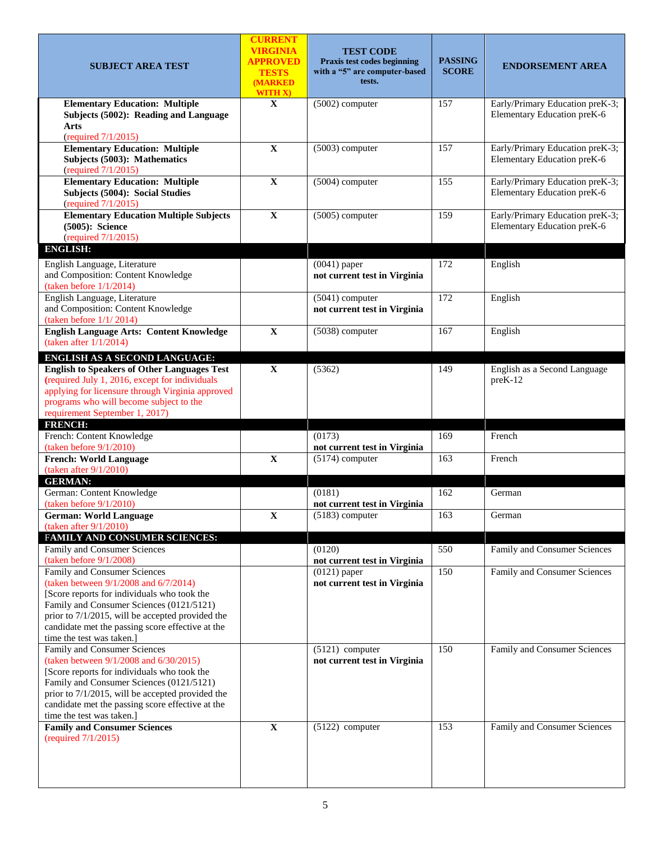| <b>SUBJECT AREA TEST</b>                                                                                                                                                                                                                                                                               | <b>CURRENT</b><br><b>VIRGINIA</b><br><b>APPROVED</b><br><b>TESTS</b><br><b>(MARKED)</b><br><b>WITH X)</b> | <b>TEST CODE</b><br>Praxis test codes beginning<br>with a "5" are computer-based<br>tests. | <b>PASSING</b><br><b>SCORE</b> | <b>ENDORSEMENT AREA</b>                                        |
|--------------------------------------------------------------------------------------------------------------------------------------------------------------------------------------------------------------------------------------------------------------------------------------------------------|-----------------------------------------------------------------------------------------------------------|--------------------------------------------------------------------------------------------|--------------------------------|----------------------------------------------------------------|
| <b>Elementary Education: Multiple</b><br>Subjects (5002): Reading and Language<br><b>Arts</b><br>(required 7/1/2015)                                                                                                                                                                                   | $\mathbf{X}$                                                                                              | $(5002)$ computer                                                                          |                                | Early/Primary Education preK-3;<br>Elementary Education preK-6 |
| <b>Elementary Education: Multiple</b><br>Subjects (5003): Mathematics<br>(required 7/1/2015)                                                                                                                                                                                                           | $\mathbf X$                                                                                               | $(5003)$ computer                                                                          | 157                            | Early/Primary Education preK-3;<br>Elementary Education preK-6 |
| <b>Elementary Education: Multiple</b><br>Subjects (5004): Social Studies<br>(required 7/1/2015)                                                                                                                                                                                                        | $\mathbf X$                                                                                               | $(5004)$ computer                                                                          | 155                            | Early/Primary Education preK-3;<br>Elementary Education preK-6 |
| <b>Elementary Education Multiple Subjects</b><br>(5005): Science<br>(required 7/1/2015)<br><b>ENGLISH:</b>                                                                                                                                                                                             | $\mathbf X$                                                                                               | $(5005)$ computer                                                                          | 159                            | Early/Primary Education preK-3;<br>Elementary Education preK-6 |
| English Language, Literature<br>and Composition: Content Knowledge<br>(taken before $1/1/2014$ )                                                                                                                                                                                                       |                                                                                                           | $(0041)$ paper<br>not current test in Virginia                                             | 172                            | English                                                        |
| English Language, Literature<br>and Composition: Content Knowledge<br>(taken before $1/1/2014$ )                                                                                                                                                                                                       |                                                                                                           | $(5041)$ computer<br>not current test in Virginia                                          | 172                            | English                                                        |
| <b>English Language Arts: Content Knowledge</b><br>(taken after $1/1/2014$ )                                                                                                                                                                                                                           | $\mathbf X$                                                                                               | (5038) computer                                                                            | 167                            | English                                                        |
| ENGLISH AS A SECOND LANGUAGE:<br><b>English to Speakers of Other Languages Test</b><br>(required July 1, 2016, except for individuals<br>applying for licensure through Virginia approved<br>programs who will become subject to the<br>requirement September 1, 2017)                                 | $\mathbf X$                                                                                               | (5362)                                                                                     | 149                            | English as a Second Language<br>preK-12                        |
| <b>FRENCH:</b><br>French: Content Knowledge<br>(taken before $9/1/2010$ )                                                                                                                                                                                                                              |                                                                                                           | (0173)<br>not current test in Virginia                                                     | 169                            | French                                                         |
| <b>French: World Language</b><br>(taken after $9/1/2010$ )                                                                                                                                                                                                                                             | $\mathbf X$                                                                                               | $(5174)$ computer                                                                          | 163                            | French                                                         |
| <b>GERMAN:</b><br>German: Content Knowledge<br>(taken before $9/1/2010$ )                                                                                                                                                                                                                              |                                                                                                           | (0181)<br>not current test in Virginia                                                     | 162                            | German                                                         |
| <b>German: World Language</b><br>(taken after $9/1/2010$ )                                                                                                                                                                                                                                             | $\mathbf X$                                                                                               | $(5183)$ computer                                                                          | 163                            | German                                                         |
| FAMILY AND CONSUMER SCIENCES:<br>Family and Consumer Sciences<br>(taken before $9/1/2008$ )                                                                                                                                                                                                            |                                                                                                           | (0120)<br>not current test in Virginia                                                     | 550                            | Family and Consumer Sciences                                   |
| Family and Consumer Sciences<br>(taken between 9/1/2008 and 6/7/2014)<br>[Score reports for individuals who took the<br>Family and Consumer Sciences (0121/5121)<br>prior to 7/1/2015, will be accepted provided the<br>candidate met the passing score effective at the<br>time the test was taken.]  |                                                                                                           | $(0121)$ paper<br>not current test in Virginia                                             | 150                            | Family and Consumer Sciences                                   |
| Family and Consumer Sciences<br>(taken between 9/1/2008 and 6/30/2015)<br>[Score reports for individuals who took the<br>Family and Consumer Sciences (0121/5121)<br>prior to 7/1/2015, will be accepted provided the<br>candidate met the passing score effective at the<br>time the test was taken.] |                                                                                                           | $(5121)$ computer<br>not current test in Virginia                                          | 150                            | Family and Consumer Sciences                                   |
| <b>Family and Consumer Sciences</b><br>(required 7/1/2015)                                                                                                                                                                                                                                             | $\mathbf X$                                                                                               | $(5122)$ computer                                                                          | 153                            | Family and Consumer Sciences                                   |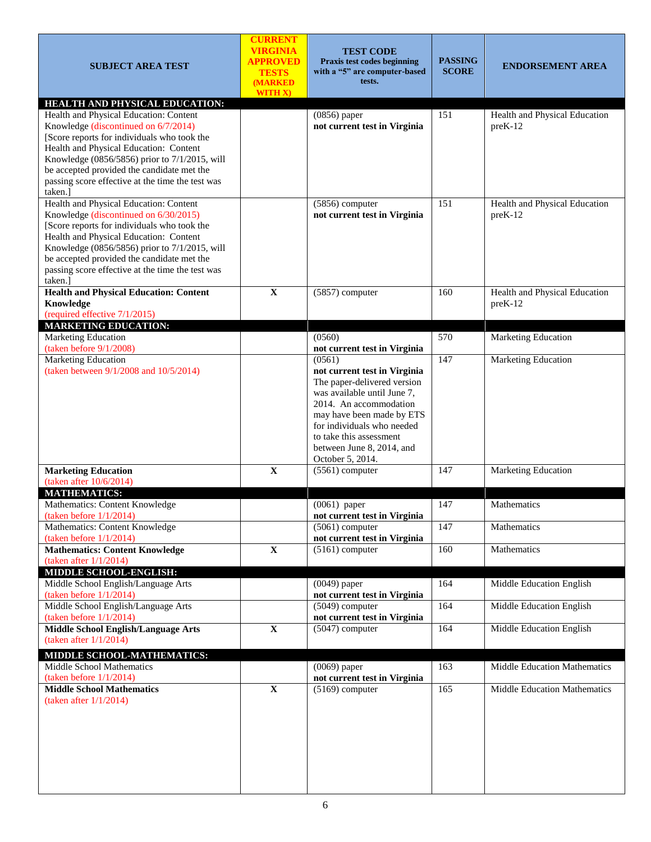| <b>SUBJECT AREA TEST</b>                                                                       | <b>CURRENT</b><br><b>VIRGINIA</b><br><b>APPROVED</b><br><b>TESTS</b><br>(MARKED<br>WITH X) | <b>TEST CODE</b><br>Praxis test codes beginning<br>with a "5" are computer-based<br>tests. | <b>PASSING</b><br><b>SCORE</b> | <b>ENDORSEMENT AREA</b>                    |
|------------------------------------------------------------------------------------------------|--------------------------------------------------------------------------------------------|--------------------------------------------------------------------------------------------|--------------------------------|--------------------------------------------|
| <b>HEALTH AND PHYSICAL EDUCATION:</b>                                                          |                                                                                            |                                                                                            |                                |                                            |
| Health and Physical Education: Content<br>Knowledge (discontinued on 6/7/2014)                 |                                                                                            | $(0856)$ paper<br>not current test in Virginia                                             | 151                            | Health and Physical Education<br>$preK-12$ |
| [Score reports for individuals who took the                                                    |                                                                                            |                                                                                            |                                |                                            |
| Health and Physical Education: Content                                                         |                                                                                            |                                                                                            |                                |                                            |
| Knowledge (0856/5856) prior to 7/1/2015, will                                                  |                                                                                            |                                                                                            |                                |                                            |
| be accepted provided the candidate met the<br>passing score effective at the time the test was |                                                                                            |                                                                                            |                                |                                            |
| taken.]                                                                                        |                                                                                            |                                                                                            |                                |                                            |
| Health and Physical Education: Content                                                         |                                                                                            | (5856) computer                                                                            | 151                            | Health and Physical Education              |
| Knowledge (discontinued on 6/30/2015)                                                          |                                                                                            | not current test in Virginia                                                               |                                | $preK-12$                                  |
| [Score reports for individuals who took the                                                    |                                                                                            |                                                                                            |                                |                                            |
| Health and Physical Education: Content                                                         |                                                                                            |                                                                                            |                                |                                            |
| Knowledge (0856/5856) prior to 7/1/2015, will<br>be accepted provided the candidate met the    |                                                                                            |                                                                                            |                                |                                            |
| passing score effective at the time the test was                                               |                                                                                            |                                                                                            |                                |                                            |
| taken.]                                                                                        |                                                                                            |                                                                                            |                                |                                            |
| <b>Health and Physical Education: Content</b>                                                  | $\mathbf X$                                                                                | (5857) computer                                                                            | 160                            | Health and Physical Education              |
| Knowledge                                                                                      |                                                                                            |                                                                                            |                                | $preK-12$                                  |
| (required effective 7/1/2015)<br><b>MARKETING EDUCATION:</b>                                   |                                                                                            |                                                                                            |                                |                                            |
| Marketing Education                                                                            |                                                                                            | (0560)                                                                                     | 570                            | <b>Marketing Education</b>                 |
| (taken before $9/1/2008$ )                                                                     |                                                                                            | not current test in Virginia                                                               |                                |                                            |
| Marketing Education                                                                            |                                                                                            | (0561)                                                                                     | 147                            | Marketing Education                        |
| (taken between 9/1/2008 and 10/5/2014)                                                         |                                                                                            | not current test in Virginia                                                               |                                |                                            |
|                                                                                                |                                                                                            | The paper-delivered version<br>was available until June 7,                                 |                                |                                            |
|                                                                                                |                                                                                            | 2014. An accommodation                                                                     |                                |                                            |
|                                                                                                |                                                                                            | may have been made by ETS                                                                  |                                |                                            |
|                                                                                                |                                                                                            | for individuals who needed                                                                 |                                |                                            |
|                                                                                                |                                                                                            | to take this assessment                                                                    |                                |                                            |
|                                                                                                |                                                                                            | between June 8, 2014, and                                                                  |                                |                                            |
| <b>Marketing Education</b>                                                                     | $\mathbf X$                                                                                | October 5, 2014.<br>$(5561)$ computer                                                      | 147                            | Marketing Education                        |
| (taken after $10/6/2014$ )                                                                     |                                                                                            |                                                                                            |                                |                                            |
| <b>MATHEMATICS:</b>                                                                            |                                                                                            |                                                                                            |                                |                                            |
| Mathematics: Content Knowledge<br>(taken before $1/1/2014$ )                                   |                                                                                            | $\overline{(0061)}$ paper<br>not current test in Virginia                                  | 147                            | Mathematics                                |
| Mathematics: Content Knowledge                                                                 |                                                                                            | $(5061)$ computer                                                                          | 147                            | Mathematics                                |
| (taken before $1/1/2014$ )                                                                     |                                                                                            | not current test in Virginia                                                               |                                |                                            |
| <b>Mathematics: Content Knowledge</b>                                                          | $\overline{\mathbf{X}}$                                                                    | $(5161)$ computer                                                                          | 160                            | Mathematics                                |
| (taken after $1/1/2014$ )                                                                      |                                                                                            |                                                                                            |                                |                                            |
| MIDDLE SCHOOL-ENGLISH:<br>Middle School English/Language Arts                                  |                                                                                            | $(0049)$ paper                                                                             | 164                            | Middle Education English                   |
| (taken before $1/1/2014$ )                                                                     |                                                                                            | not current test in Virginia                                                               |                                |                                            |
| Middle School English/Language Arts                                                            |                                                                                            | $(5049)$ computer                                                                          | 164                            | Middle Education English                   |
| (taken before $1/1/2014$ )                                                                     |                                                                                            | not current test in Virginia                                                               |                                |                                            |
| Middle School English/Language Arts                                                            | $\mathbf X$                                                                                | $(5047)$ computer                                                                          | 164                            | Middle Education English                   |
| (taken after $1/1/2014$ )                                                                      |                                                                                            |                                                                                            |                                |                                            |
| MIDDLE SCHOOL-MATHEMATICS:<br>Middle School Mathematics                                        |                                                                                            | $(0069)$ paper                                                                             |                                | Middle Education Mathematics               |
| (taken before $1/1/2014$ )                                                                     |                                                                                            | not current test in Virginia                                                               | 163                            |                                            |
| <b>Middle School Mathematics</b>                                                               | $\overline{\mathbf{X}}$                                                                    | $(5169)$ computer                                                                          | 165                            | Middle Education Mathematics               |
| (taken after $1/1/2014$ )                                                                      |                                                                                            |                                                                                            |                                |                                            |
|                                                                                                |                                                                                            |                                                                                            |                                |                                            |
|                                                                                                |                                                                                            |                                                                                            |                                |                                            |
|                                                                                                |                                                                                            |                                                                                            |                                |                                            |
|                                                                                                |                                                                                            |                                                                                            |                                |                                            |
|                                                                                                |                                                                                            |                                                                                            |                                |                                            |
|                                                                                                |                                                                                            |                                                                                            |                                |                                            |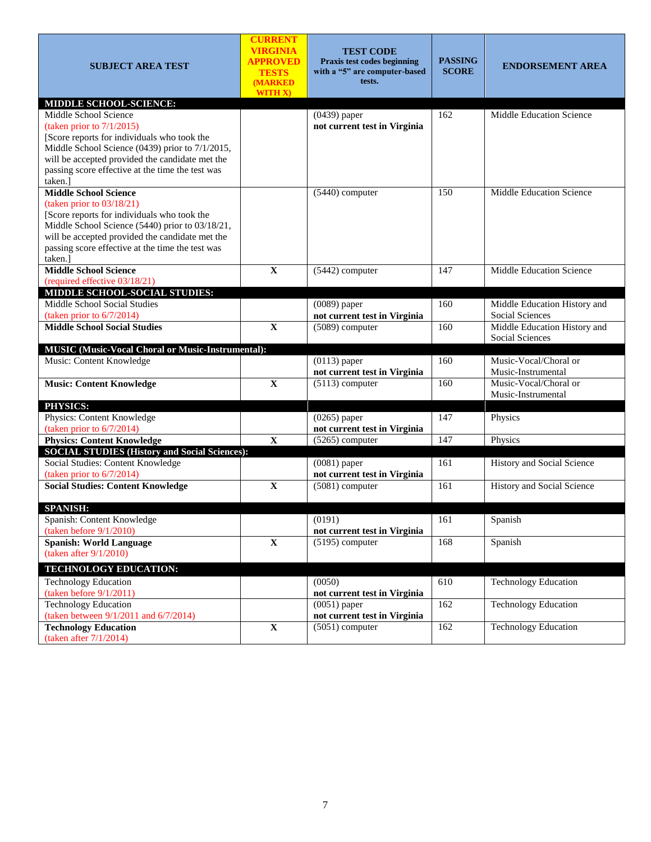| <b>SUBJECT AREA TEST</b>                                                                            | <b>CURRENT</b><br><b>VIRGINIA</b><br><b>APPROVED</b><br><b>TESTS</b><br><b>(MARKED)</b><br>WITH X) | <b>TEST CODE</b><br>Praxis test codes beginning<br>with a "5" are computer-based<br>tests. | <b>PASSING</b><br><b>SCORE</b> | <b>ENDORSEMENT AREA</b>                                |
|-----------------------------------------------------------------------------------------------------|----------------------------------------------------------------------------------------------------|--------------------------------------------------------------------------------------------|--------------------------------|--------------------------------------------------------|
| MIDDLE SCHOOL-SCIENCE:                                                                              |                                                                                                    |                                                                                            |                                |                                                        |
| Middle School Science                                                                               |                                                                                                    | (0439) paper                                                                               | 162                            | Middle Education Science                               |
| (taken prior to $7/1/2015$ )                                                                        |                                                                                                    | not current test in Virginia                                                               |                                |                                                        |
| [Score reports for individuals who took the                                                         |                                                                                                    |                                                                                            |                                |                                                        |
| Middle School Science (0439) prior to 7/1/2015,<br>will be accepted provided the candidate met the  |                                                                                                    |                                                                                            |                                |                                                        |
| passing score effective at the time the test was                                                    |                                                                                                    |                                                                                            |                                |                                                        |
| taken.]                                                                                             |                                                                                                    |                                                                                            |                                |                                                        |
| <b>Middle School Science</b>                                                                        |                                                                                                    | $(5440)$ computer                                                                          | 150                            | <b>Middle Education Science</b>                        |
| (taken prior to $03/18/21$ )                                                                        |                                                                                                    |                                                                                            |                                |                                                        |
| [Score reports for individuals who took the                                                         |                                                                                                    |                                                                                            |                                |                                                        |
| Middle School Science (5440) prior to 03/18/21,                                                     |                                                                                                    |                                                                                            |                                |                                                        |
| will be accepted provided the candidate met the<br>passing score effective at the time the test was |                                                                                                    |                                                                                            |                                |                                                        |
| taken.]                                                                                             |                                                                                                    |                                                                                            |                                |                                                        |
| Middle School Science                                                                               | $\mathbf{X}$                                                                                       | $(5442)$ computer                                                                          | 147                            | Middle Education Science                               |
| (required effective 03/18/21)                                                                       |                                                                                                    |                                                                                            |                                |                                                        |
| MIDDLE SCHOOL-SOCIAL STUDIES:                                                                       |                                                                                                    |                                                                                            |                                |                                                        |
| Middle School Social Studies                                                                        |                                                                                                    | $(0089)$ paper                                                                             | 160                            | Middle Education History and                           |
| (taken prior to $6/7/2014$ )                                                                        |                                                                                                    | not current test in Virginia                                                               |                                | Social Sciences                                        |
| <b>Middle School Social Studies</b>                                                                 | $\mathbf{X}$                                                                                       | $(5089)$ computer                                                                          | 160                            | Middle Education History and<br><b>Social Sciences</b> |
| MUSIC (Music-Vocal Choral or Music-Instrumental):                                                   |                                                                                                    |                                                                                            |                                |                                                        |
| Music: Content Knowledge                                                                            |                                                                                                    | $(0113)$ paper                                                                             | 160                            | Music-Vocal/Choral or                                  |
|                                                                                                     |                                                                                                    | not current test in Virginia                                                               |                                | Music-Instrumental                                     |
| <b>Music: Content Knowledge</b>                                                                     | $\mathbf X$                                                                                        | $(5113)$ computer                                                                          | 160                            | Music-Vocal/Choral or                                  |
|                                                                                                     |                                                                                                    |                                                                                            |                                | Music-Instrumental                                     |
| PHYSICS:                                                                                            |                                                                                                    |                                                                                            |                                |                                                        |
| Physics: Content Knowledge                                                                          |                                                                                                    | $(0265)$ paper                                                                             | 147                            | Physics                                                |
| (taken prior to $6/7/2014$ )                                                                        |                                                                                                    | not current test in Virginia                                                               |                                |                                                        |
| <b>Physics: Content Knowledge</b><br><b>SOCIAL STUDIES (History and Social Sciences):</b>           | $\overline{\mathbf{X}}$                                                                            | $(5265)$ computer                                                                          | 147                            | Physics                                                |
| Social Studies: Content Knowledge                                                                   |                                                                                                    | $(0081)$ paper                                                                             | 161                            | History and Social Science                             |
| (taken prior to $6/7/2014$ )                                                                        |                                                                                                    | not current test in Virginia                                                               |                                |                                                        |
| <b>Social Studies: Content Knowledge</b>                                                            | $\mathbf X$                                                                                        | $(5081)$ computer                                                                          | 161                            | History and Social Science                             |
|                                                                                                     |                                                                                                    |                                                                                            |                                |                                                        |
| <b>SPANISH:</b>                                                                                     |                                                                                                    |                                                                                            |                                |                                                        |
| Spanish: Content Knowledge                                                                          |                                                                                                    | (0191)                                                                                     | 161                            | Spanish                                                |
| (taken before $9/1/2010$ )                                                                          |                                                                                                    | not current test in Virginia                                                               |                                |                                                        |
| <b>Spanish: World Language</b>                                                                      | $\mathbf X$                                                                                        | $(5195)$ computer                                                                          | 168                            | Spanish                                                |
| (taken after $9/1/2010$ )                                                                           |                                                                                                    |                                                                                            |                                |                                                        |
| TECHNOLOGY EDUCATION:                                                                               |                                                                                                    |                                                                                            |                                |                                                        |
| <b>Technology Education</b>                                                                         |                                                                                                    | (0050)                                                                                     | 610                            | <b>Technology Education</b>                            |
| (taken before $9/1/2011$ )                                                                          |                                                                                                    |                                                                                            |                                |                                                        |
|                                                                                                     |                                                                                                    | not current test in Virginia                                                               |                                |                                                        |
| <b>Technology Education</b>                                                                         |                                                                                                    | $(0051)$ paper                                                                             | 162                            | <b>Technology Education</b>                            |
| (taken between 9/1/2011 and 6/7/2014)<br><b>Technology Education</b>                                | $\mathbf X$                                                                                        | not current test in Virginia<br>$(5051)$ computer                                          | 162                            | <b>Technology Education</b>                            |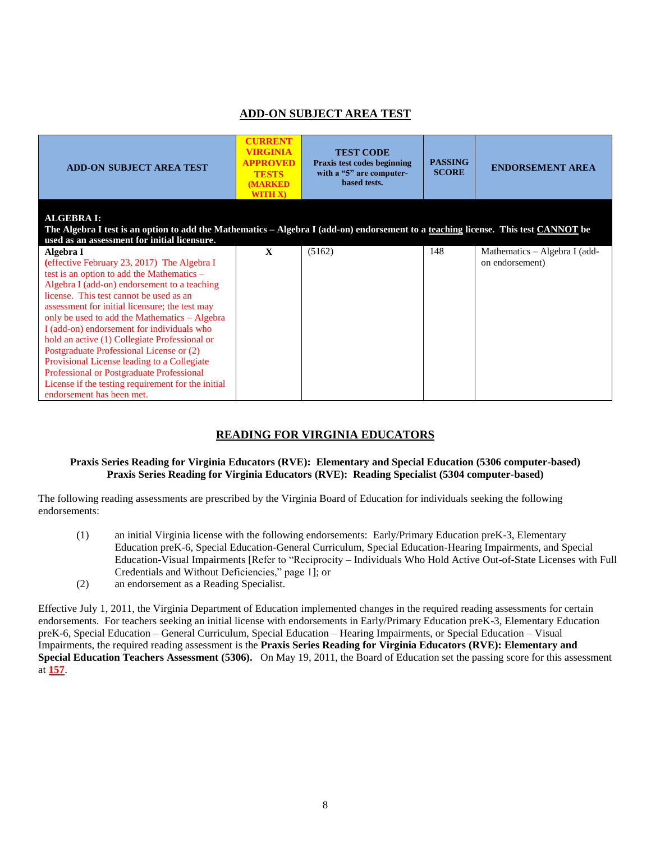## **ADD-ON SUBJECT AREA TEST**

| <b>ADD-ON SUBJECT AREA TEST</b>                                                                                                                                                                                                                                                                                                                                                                                                                                                                                                                                                                                                  | <b>CURRENT</b><br>VIRGINIA<br><b>APPROVED</b><br><b>TESTS</b><br><b>MARKED</b><br><b>WITH X)</b> | <b>TEST CODE</b><br>Praxis test codes beginning<br>with a "5" are computer-<br>based tests. | <b>PASSING</b><br><b>SCORE</b> | <b>ENDORSEMENT AREA</b>                          |
|----------------------------------------------------------------------------------------------------------------------------------------------------------------------------------------------------------------------------------------------------------------------------------------------------------------------------------------------------------------------------------------------------------------------------------------------------------------------------------------------------------------------------------------------------------------------------------------------------------------------------------|--------------------------------------------------------------------------------------------------|---------------------------------------------------------------------------------------------|--------------------------------|--------------------------------------------------|
| <b>ALGEBRA I:</b><br>The Algebra I test is an option to add the Mathematics - Algebra I (add-on) endorsement to a teaching license. This test CANNOT be<br>used as an assessment for initial licensure.                                                                                                                                                                                                                                                                                                                                                                                                                          |                                                                                                  |                                                                                             |                                |                                                  |
| Algebra I<br>(effective February 23, 2017) The Algebra I<br>test is an option to add the Mathematics $-$<br>Algebra I (add-on) endorsement to a teaching<br>license. This test cannot be used as an<br>assessment for initial licensure; the test may<br>only be used to add the Mathematics - Algebra<br>I (add-on) endorsement for individuals who<br>hold an active (1) Collegiate Professional or<br>Postgraduate Professional License or (2)<br>Provisional License leading to a Collegiate<br>Professional or Postgraduate Professional<br>License if the testing requirement for the initial<br>endorsement has been met. | $\mathbf{x}$                                                                                     | (5162)                                                                                      | 148                            | Mathematics - Algebra I (add-<br>on endorsement) |

## **READING FOR VIRGINIA EDUCATORS**

### **Praxis Series Reading for Virginia Educators (RVE): Elementary and Special Education (5306 computer-based) Praxis Series Reading for Virginia Educators (RVE): Reading Specialist (5304 computer-based)**

The following reading assessments are prescribed by the Virginia Board of Education for individuals seeking the following endorsements:

- (1) an initial Virginia license with the following endorsements: Early/Primary Education preK-3, Elementary Education preK-6, Special Education-General Curriculum, Special Education-Hearing Impairments, and Special Education-Visual Impairments [Refer to "Reciprocity – Individuals Who Hold Active Out-of-State Licenses with Full Credentials and Without Deficiencies," page 1]; or
- (2) an endorsement as a Reading Specialist.

Effective July 1, 2011, the Virginia Department of Education implemented changes in the required reading assessments for certain endorsements. For teachers seeking an initial license with endorsements in Early/Primary Education preK-3, Elementary Education preK-6, Special Education – General Curriculum, Special Education – Hearing Impairments, or Special Education – Visual Impairments, the required reading assessment is the **Praxis Series Reading for Virginia Educators (RVE): Elementary and Special Education Teachers Assessment (5306).** On May 19, 2011, the Board of Education set the passing score for this assessment at **157**.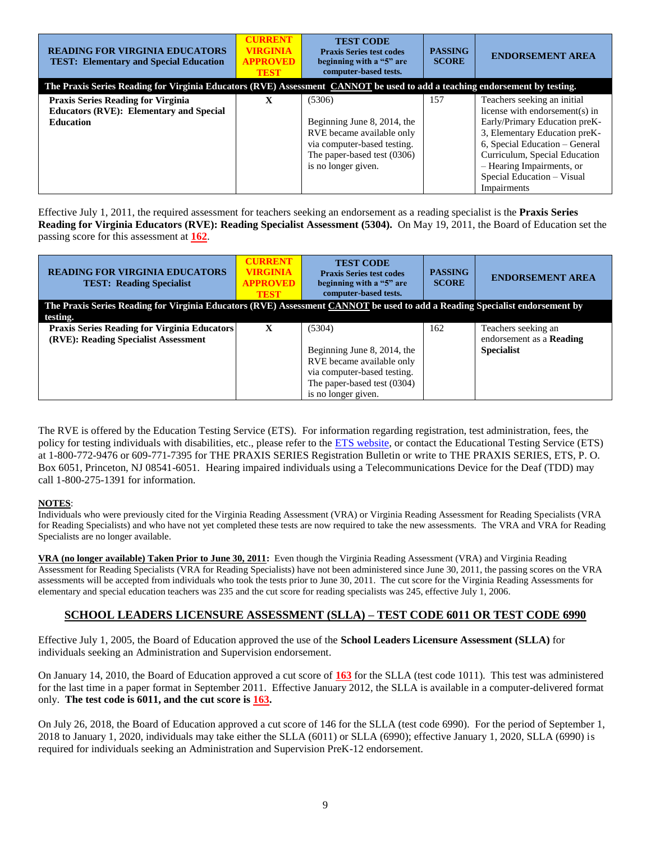| <b>READING FOR VIRGINIA EDUCATORS</b><br><b>TEST: Elementary and Special Education</b>                                     | <b>CURRENT</b><br><b>VIRGINIA</b><br><b>APPROVED</b><br><b>TEST</b> | <b>TEST CODE</b><br><b>Praxis Series test codes</b><br>beginning with a "5" are<br>computer-based tests.                                                | <b>PASSING</b><br><b>SCORE</b> | <b>ENDORSEMENT AREA</b>                                                                                                                                                                                                                                                      |
|----------------------------------------------------------------------------------------------------------------------------|---------------------------------------------------------------------|---------------------------------------------------------------------------------------------------------------------------------------------------------|--------------------------------|------------------------------------------------------------------------------------------------------------------------------------------------------------------------------------------------------------------------------------------------------------------------------|
| The Praxis Series Reading for Virginia Educators (RVE) Assessment CANNOT be used to add a teaching endorsement by testing. |                                                                     |                                                                                                                                                         |                                |                                                                                                                                                                                                                                                                              |
| <b>Praxis Series Reading for Virginia</b><br><b>Educators (RVE): Elementary and Special</b><br><b>Education</b>            | $\mathbf{X}$                                                        | (5306)<br>Beginning June 8, 2014, the<br>RVE became available only<br>via computer-based testing.<br>The paper-based test (0306)<br>is no longer given. | 157                            | Teachers seeking an initial<br>license with endorsement(s) in<br>Early/Primary Education preK-<br>3, Elementary Education preK-<br>6, Special Education - General<br>Curriculum, Special Education<br>- Hearing Impairments, or<br>Special Education - Visual<br>Impairments |

Effective July 1, 2011, the required assessment for teachers seeking an endorsement as a reading specialist is the **Praxis Series Reading for Virginia Educators (RVE): Reading Specialist Assessment (5304).** On May 19, 2011, the Board of Education set the passing score for this assessment at **162**.

| <b>READING FOR VIRGINIA EDUCATORS</b><br><b>TEST: Reading Specialist</b>                                                    | <b>CURRENT</b><br><b>VIRGINIA</b><br><b>APPROVED</b><br><b>TEST</b> | <b>TEST CODE</b><br><b>Praxis Series test codes</b><br>beginning with a "5" are<br>computer-based tests. | <b>PASSING</b><br><b>SCORE</b> | <b>ENDORSEMENT AREA</b>         |
|-----------------------------------------------------------------------------------------------------------------------------|---------------------------------------------------------------------|----------------------------------------------------------------------------------------------------------|--------------------------------|---------------------------------|
| The Praxis Series Reading for Virginia Educators (RVE) Assessment CANNOT be used to add a Reading Specialist endorsement by |                                                                     |                                                                                                          |                                |                                 |
| testing.                                                                                                                    |                                                                     |                                                                                                          |                                |                                 |
| <b>Praxis Series Reading for Virginia Educators</b>                                                                         | $\mathbf{X}$                                                        | (5304)                                                                                                   | 162                            | Teachers seeking an             |
| (RVE): Reading Specialist Assessment                                                                                        |                                                                     |                                                                                                          |                                | endorsement as a <b>Reading</b> |
|                                                                                                                             |                                                                     | Beginning June 8, 2014, the                                                                              |                                | <b>Specialist</b>               |
|                                                                                                                             |                                                                     | RVE became available only                                                                                |                                |                                 |
|                                                                                                                             |                                                                     | via computer-based testing.                                                                              |                                |                                 |
|                                                                                                                             |                                                                     | The paper-based test (0304)                                                                              |                                |                                 |
|                                                                                                                             |                                                                     | is no longer given.                                                                                      |                                |                                 |

The RVE is offered by the Education Testing Service (ETS). For information regarding registration, test administration, fees, the policy for testing individuals with disabilities, etc., please refer to the [ETS website,](http://www.ets.org/) or contact the Educational Testing Service (ETS) at 1-800-772-9476 or 609-771-7395 for THE PRAXIS SERIES Registration Bulletin or write to THE PRAXIS SERIES, ETS, P. O. Box 6051, Princeton, NJ 08541-6051. Hearing impaired individuals using a Telecommunications Device for the Deaf (TDD) may call 1-800-275-1391 for information.

### **NOTES**:

Individuals who were previously cited for the Virginia Reading Assessment (VRA) or Virginia Reading Assessment for Reading Specialists (VRA for Reading Specialists) and who have not yet completed these tests are now required to take the new assessments. The VRA and VRA for Reading Specialists are no longer available.

**VRA (no longer available) Taken Prior to June 30, 2011:** Even though the Virginia Reading Assessment (VRA) and Virginia Reading Assessment for Reading Specialists (VRA for Reading Specialists) have not been administered since June 30, 2011, the passing scores on the VRA assessments will be accepted from individuals who took the tests prior to June 30, 2011. The cut score for the Virginia Reading Assessments for elementary and special education teachers was 235 and the cut score for reading specialists was 245, effective July 1, 2006.

## **SCHOOL LEADERS LICENSURE ASSESSMENT (SLLA) – TEST CODE 6011 OR TEST CODE 6990**

Effective July 1, 2005, the Board of Education approved the use of the **School Leaders Licensure Assessment (SLLA)** for individuals seeking an Administration and Supervision endorsement.

On January 14, 2010, the Board of Education approved a cut score of **163** for the SLLA (test code 1011). This test was administered for the last time in a paper format in September 2011. Effective January 2012, the SLLA is available in a computer-delivered format only. **The test code is 6011, and the cut score is 163.**

On July 26, 2018, the Board of Education approved a cut score of 146 for the SLLA (test code 6990). For the period of September 1, 2018 to January 1, 2020, individuals may take either the SLLA (6011) or SLLA (6990); effective January 1, 2020, SLLA (6990) is required for individuals seeking an Administration and Supervision PreK-12 endorsement.